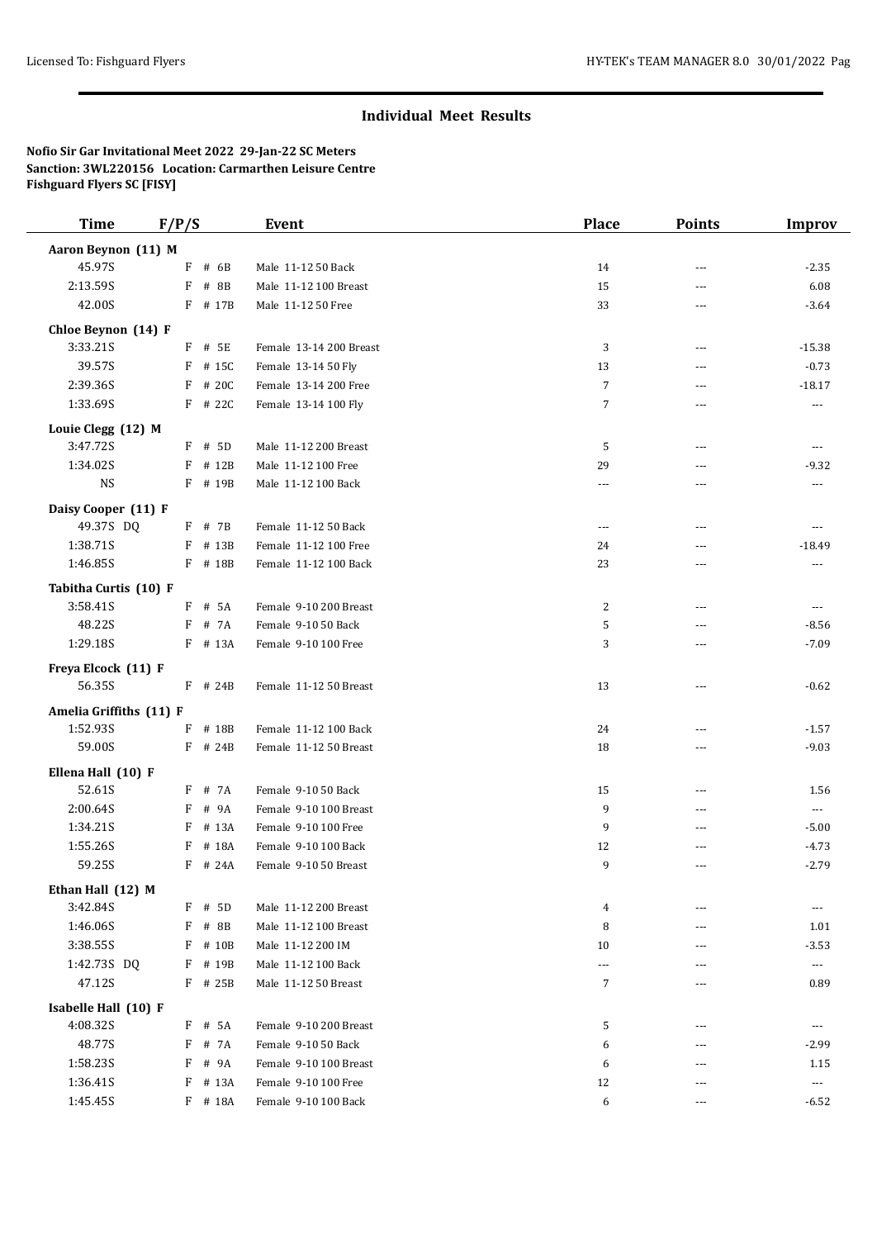## **Individual Meet Results**

**Nofio Sir Gar Invitational Meet 2022 29-Jan-22 SC Meters Sanction: 3WL220156 Location: Carmarthen Leisure Centre Fishguard Flyers SC [FISY]**

| <b>Time</b>             | F/P/S      | Event                   | <b>Place</b>             | <b>Points</b> | <b>Improv</b>        |
|-------------------------|------------|-------------------------|--------------------------|---------------|----------------------|
| Aaron Beynon (11) M     |            |                         |                          |               |                      |
| 45.97S                  | F # 6B     | Male 11-12 50 Back      | 14                       | ---           | $-2.35$              |
| 2:13.59S                | F<br># 8B  | Male 11-12 100 Breast   | 15                       | ---           | 6.08                 |
| 42.00S                  | $F$ # 17B  | Male 11-12 50 Free      | 33                       | ---           | $-3.64$              |
| Chloe Beynon (14) F     |            |                         |                          |               |                      |
| 3:33.21S                | F # 5E     | Female 13-14 200 Breast | 3                        | ---           | $-15.38$             |
| 39.57S                  | $F$ # 15C  | Female 13-14 50 Fly     | 13                       | ---           | $-0.73$              |
| 2:39.36S                | F<br># 20C | Female 13-14 200 Free   | $\overline{7}$           | ---           | $-18.17$             |
| 1:33.69S                | $F$ # 22C  | Female 13-14 100 Fly    | 7                        | ---           | ---                  |
| Louie Clegg (12) M      |            |                         |                          |               |                      |
| 3:47.72S                | $F$ # 5D   | Male 11-12 200 Breast   | 5                        | ---           | ---                  |
| 1:34.02S                | F # 12B    | Male 11-12 100 Free     | 29                       | ---           | $-9.32$              |
| <b>NS</b>               | F # 19B    | Male 11-12 100 Back     | ---                      | ---           | ---                  |
| Daisy Cooper (11) F     |            |                         |                          |               |                      |
| 49.37S DQ               | F # 7B     | Female 11-12 50 Back    | $\overline{\phantom{a}}$ | ---           | ---                  |
| 1:38.71S                | F # 13B    | Female 11-12 100 Free   | 24                       | $---$         | $-18.49$             |
| 1:46.85S                | F # 18B    | Female 11-12 100 Back   | 23                       | ---           | $\overline{a}$       |
| Tabitha Curtis (10) F   |            |                         |                          |               |                      |
| 3:58.41S                | F # 5A     | Female 9-10 200 Breast  | $\overline{c}$           | ---           | $---$                |
| 48.22S                  | F<br># 7A  | Female 9-10 50 Back     | 5                        | ---           | $-8.56$              |
| 1:29.18S                | F # 13A    | Female 9-10 100 Free    | 3                        | ---           | $-7.09$              |
| Freya Elcock (11) F     |            |                         |                          |               |                      |
| 56.35S                  | $F$ # 24B  | Female 11-12 50 Breast  | 13                       | ---           | $-0.62$              |
| Amelia Griffiths (11) F |            |                         |                          |               |                      |
| 1:52.93S                | $F$ # 18B  | Female 11-12 100 Back   | 24                       | ---           | $-1.57$              |
| 59.00S                  | $F$ # 24B  | Female 11-12 50 Breast  | 18                       | ---           | $-9.03$              |
| Ellena Hall (10) F      |            |                         |                          |               |                      |
| 52.61S                  | F # 7A     | Female 9-10 50 Back     | 15                       | ---           | 1.56                 |
| 2:00.64S                | F # 9A     | Female 9-10 100 Breast  | 9                        | ---           | $\cdots$             |
| 1:34.21S                | F<br># 13A | Female 9-10 100 Free    | 9                        | ---           | $-5.00$              |
| 1:55.26S                | # 18A<br>F | Female 9-10 100 Back    | 12                       | ---           | $-4.73$              |
| 59.25S                  | F # 24A    | Female 9-10 50 Breast   | 9                        | ---           | $-2.79$              |
| Ethan Hall (12) M       |            |                         |                          |               |                      |
| 3:42.84S                | $F$ # 5D   | Male 11-12 200 Breast   | 4                        | ---           |                      |
| 1:46.06S                | F # 8B     | Male 11-12 100 Breast   | 8                        | ---           | 1.01                 |
| 3:38.55S                | F # 10B    | Male 11-12 200 IM       | 10                       | ---           | $-3.53$              |
| 1:42.73S DQ             | F # 19B    | Male 11-12 100 Back     | $\overline{\phantom{a}}$ | ---           | $\scriptstyle\cdots$ |
| 47.12S                  | F # 25B    | Male 11-12 50 Breast    | 7                        | ---           | 0.89                 |
| Isabelle Hall (10) F    |            |                         |                          |               |                      |
| 4:08.32S                | F # 5A     | Female 9-10 200 Breast  | 5                        | ---           | $---$                |
| 48.77S                  | F # 7A     | Female 9-10 50 Back     | 6                        | ---           | $-2.99$              |
| 1:58.23S                | F<br># 9A  | Female 9-10 100 Breast  | 6                        | ---           | 1.15                 |
| 1:36.41S                | $F$ # 13A  | Female 9-10 100 Free    | 12                       | ---           | $\cdots$             |
| 1:45.45S                | F # 18A    | Female 9-10 100 Back    | 6                        | ---           | $-6.52$              |
|                         |            |                         |                          |               |                      |